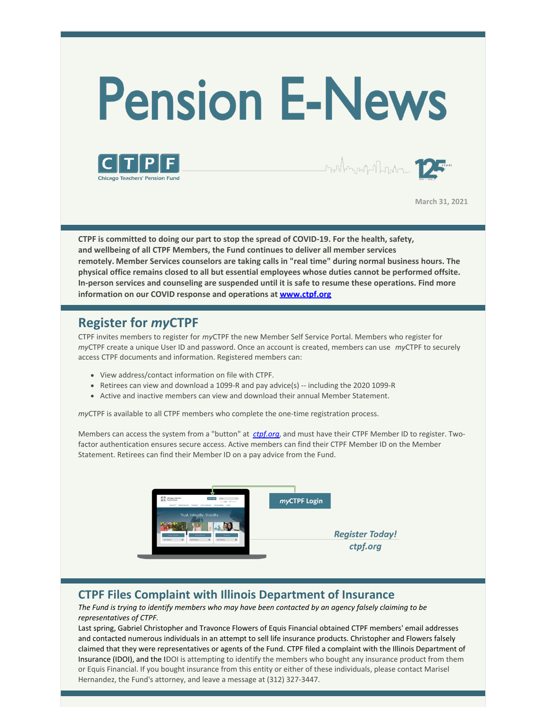# **Pension E-News**





**March 31, 2021**

**CTPF is committed to doing our part to stop the spread of COVID-19. For the health, safety, and wellbeing of all CTPF Members, the Fund continues to deliver all member services remotely. Member Services counselors are taking calls in "real time" during normal business hours. The physical office remains closed to all but essential employees whose duties cannot be performed offsite. In-person services and counseling are suspended until it is safe to resume these operations. Find more information on our COVID response and operations at [www.ctpf.org](http://www.ctpf.org)**

#### **Register for** *my***CTPF**

CTPF invites members to register for *my*CTPF the new Member Self Service Portal. Members who register for *my*CTPF create a unique User ID and password. Once an account is created, members can use *my*CTPF to securely access CTPF documents and information. Registered members can:

- View address/contact information on file with CTPF.
- Retirees can view and download a 1099-R and pay advice(s) -- including the 2020 1099-R
- Active and inactive members can view and download their annual Member Statement.

*my*CTPF is available to all CTPF members who complete the one-time registration process.

Members can access the system from a "button" at *[ctpf.org](http://www.ctpf.org)*, and must have their CTPF Member ID to register. Twofactor authentication ensures secure access. Active members can find their CTPF Member ID on the Member Statement. Retirees can find their Member ID on a pay advice from the Fund.



#### **CTPF Files Complaint with Illinois Department of Insurance**

*The Fund is trying to identify members who may have been contacted by an agency falsely claiming to be representatives of CTPF.* 

Last spring, Gabriel Christopher and Travonce Flowers of Equis Financial obtained CTPF members' email addresses and contacted numerous individuals in an attempt to sell life insurance products. Christopher and Flowers falsely claimed that they were representatives or agents of the Fund. CTPF filed a complaint with the Illinois Department of Insurance (IDOI), and the IDOI is attempting to identify the members who bought any insurance product from them or Equis Financial. If you bought insurance from this entity or either of these individuals, please contact Marisel Hernandez, the Fund's attorney, and leave a message at (312) 327-3447.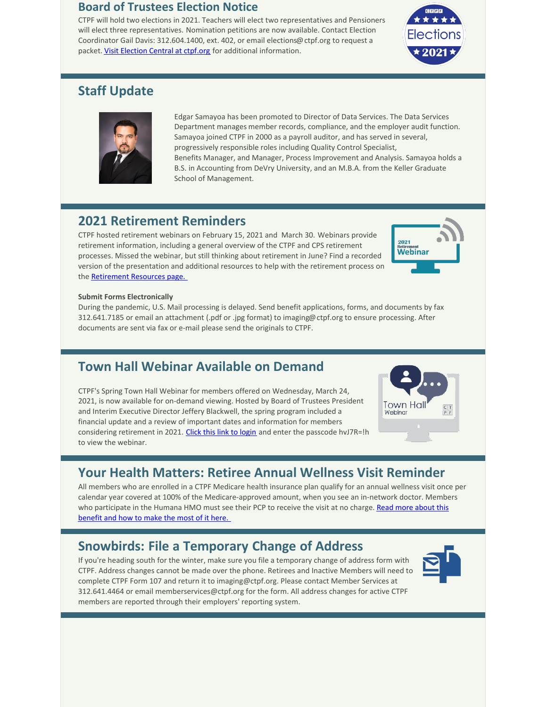#### **Board of Trustees Election Notice**

CTPF will hold two elections in 2021. Teachers will elect two representatives and Pensioners will elect three representatives. Nomination petitions are now available. Contact Election Coordinator Gail Davis: 312.604.1400, ext. 402, or email elections@ctpf.org to request a packet. [Visit Election Central at ctpf.org](https://www.ctpf.org/about-ctpf/election-central-2021) for additional information.



#### **Staff Update**



Edgar Samayoa has been promoted to Director of Data Services. The Data Services Department manages member records, compliance, and the employer audit function. Samayoa joined CTPF in 2000 as a payroll auditor, and has served in several, progressively responsible roles including Quality Control Specialist, Benefits Manager, and Manager, Process Improvement and Analysis. Samayoa holds a B.S. in Accounting from DeVry University, and an M.B.A. from the Keller Graduate School of Management.

#### **2021 Retirement Reminders**

CTPF hosted retirement webinars on February 15, 2021 and March 30. Webinars provide retirement information, including a general overview of the CTPF and CPS retirement processes. Missed the webinar, but still thinking about retirement in June? Find a recorded version of the presentation and additional resources to help with the retirement process on the Retirement Resources page.



#### **Submit Forms Electronically**

During the pandemic, U.S. Mail processing is delayed. Send benefit applications, forms, and documents by fax 312.641.7185 or email an attachment (.pdf or .jpg format) to imaging@ctpf.org to ensure processing. After documents are sent via fax or e-mail please send the originals to CTPF.

## **Town Hall Webinar Available on Demand**

CTPF's Spring Town Hall Webinar for members offered on Wednesday, March 24, 2021, is now available for on-demand viewing. Hosted by Board of Trustees President and Interim Executive Director Jeffery Blackwell, the spring program included a financial update and a review of important dates and information for members considering retirement in 2021. [Click this link to login](https://ctpf.zoom.us/rec/share/oQKugqlEM7-keMXwDDue-nLZFLKT07VspZ6o8W5wdIyW0h_RewOMkcyZZflf3rkq.ie6-uIQUTbmd_tqI) and enter the passcode hvJ7R=!h to view the webinar.



## **Your Health Matters: Retiree Annual Wellness Visit Reminder**

All members who are enrolled in a CTPF Medicare health insurance plan qualify for an annual wellness visit once per calendar year covered at 100% of the Medicare-approved amount, when you see an in-network doctor. Members [who participate in the Humana HMO must see their PCP to receive the visit at no charge. Read more about this](https://www.ctpf.org/news/your-health-matters-annual-wellness-reminder) benefit and how to make the most of it here.

## **Snowbirds: File a Temporary Change of Address**

If you're heading south for the winter, make sure you file a temporary change of address form with CTPF. Address changes cannot be made over the phone. Retirees and Inactive Members will need to complete CTPF Form 107 and return it to imaging@ctpf.org. Please contact Member Services at 312.641.4464 or email memberservices@ctpf.org for the form. All address changes for active CTPF members are reported through their employers' reporting system.

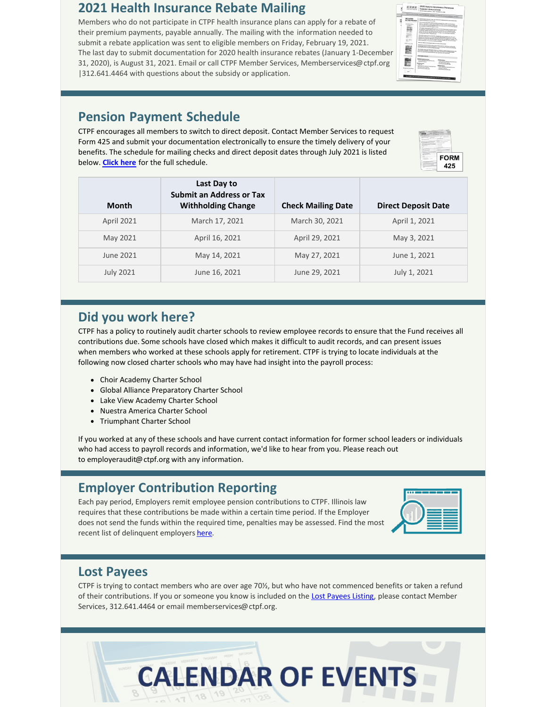#### **2021 Health Insurance Rebate Mailing**

Members who do not participate in CTPF health insurance plans can apply for a rebate of their premium payments, payable annually. The mailing with the information needed to submit a rebate application was sent to eligible members on Friday, February 19, 2021. The last day to submit documentation for 2020 health insurance rebates (January 1-December 31, 2020), is August 31, 2021. Email or call CTPF Member Services, Memberservices@ctpf.org |312.641.4464 with questions about the subsidy or application.

## $C$   $T$   $P$   $F$ ï E

#### **Pension Payment Schedule**

CTPF encourages all members to switch to direct deposit. Contact Member Services to request Form 425 and submit your documentation electronically to ensure the timely delivery of your benefits. The schedule for mailing checks and direct deposit dates through July 2021 is listed below. **[Click here](https://www.ctpf.org/pension-payments)** for the full schedule.



| Month             | Last Day to<br><b>Submit an Address or Tax</b><br><b>Withholding Change</b> | <b>Check Mailing Date</b> | <b>Direct Deposit Date</b> |
|-------------------|-----------------------------------------------------------------------------|---------------------------|----------------------------|
| <b>April 2021</b> | March 17, 2021                                                              | March 30, 2021            | April 1, 2021              |
| May 2021          | April 16, 2021                                                              | April 29, 2021            | May 3, 2021                |
| June 2021         | May 14, 2021                                                                | May 27, 2021              | June 1, 2021               |
| <b>July 2021</b>  | June 16, 2021                                                               | June 29, 2021             | July 1, 2021               |

#### **Did you work here?**

CTPF has a policy to routinely audit charter schools to review employee records to ensure that the Fund receives all contributions due. Some schools have closed which makes it difficult to audit records, and can present issues when members who worked at these schools apply for retirement. CTPF is trying to locate individuals at the following now closed charter schools who may have had insight into the payroll process:

- Choir Academy Charter School
- Global Alliance Preparatory Charter School
- Lake View Academy Charter School
- Nuestra America Charter School
- Triumphant Charter School

If you worked at any of these schools and have current contact information for former school leaders or individuals who had access to payroll records and information, we'd like to hear from you. Please reach out to employeraudit@ctpf.org with any information.

## **Employer Contribution Reporting**

Each pay period, Employers remit employee pension contributions to CTPF. Illinois law requires that these contributions be made within a certain time period. If the Employer does not send the funds within the required time, penalties may be assessed. Find the most recent list of delinquent employers [here](http://ctpf.org/employer-contribution-reporting).

| -- |  |
|----|--|
|    |  |
|    |  |

## **Lost Payees**

CTPF is trying to contact members who are over age 70½, but who have not commenced benefits or taken a refund of their contributions. If you or someone you know is included on the [Lost Payees Listing](https://www.ctpf.org/sites/files/2020-10/lost_payees_last_school_worked_website_list_2.pdf), please contact Member Services, 312.641.4464 or email memberservices@ctpf.org.